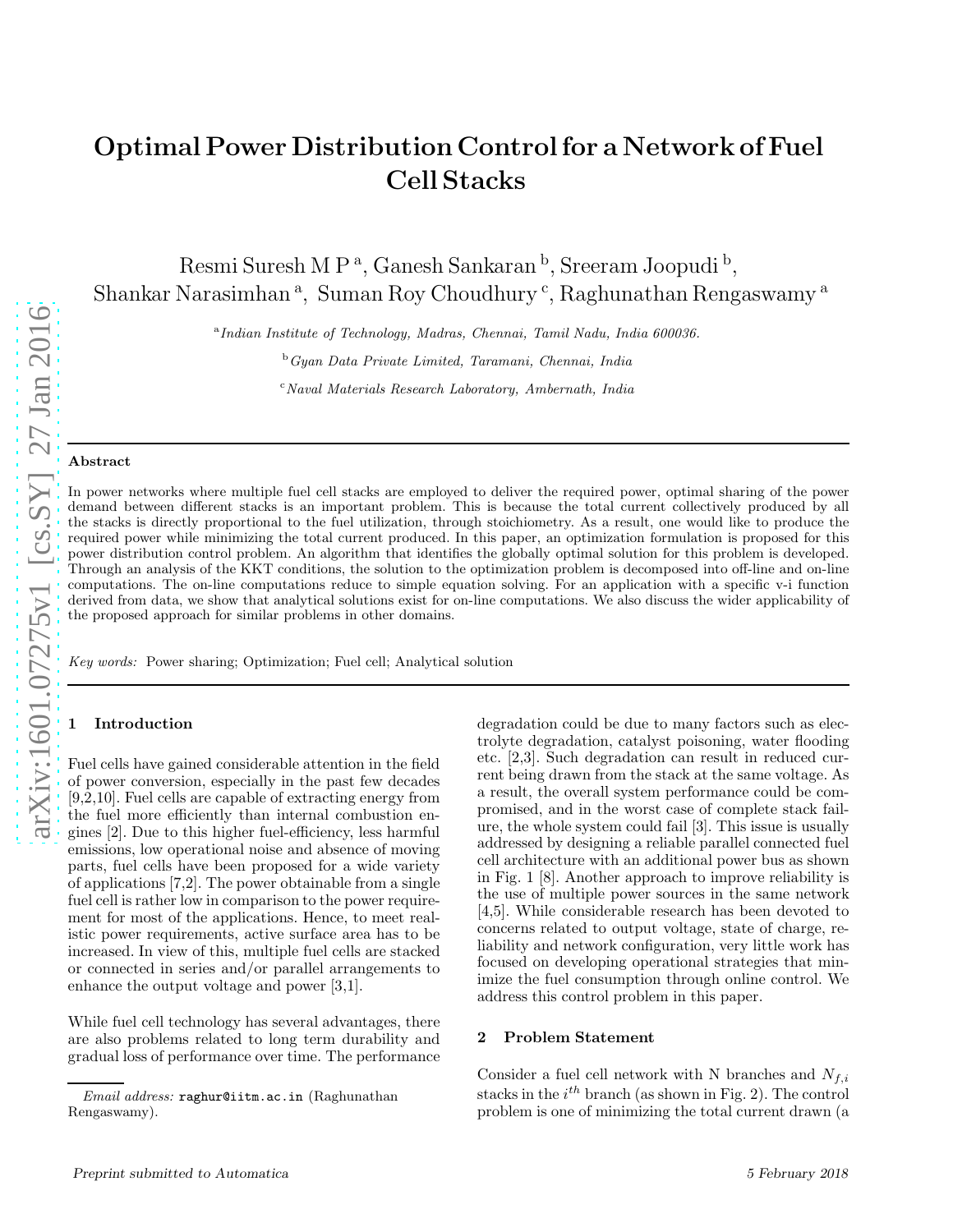# Optimal Power Distribution Control for a Network of Fuel Cell Stacks

Resmi Suresh M P<sup>a</sup>, Ganesh Sankaran <sup>b</sup>, Sreeram Joopudi <sup>b</sup>, Shankar Narasimhan<sup>a</sup>, Suman Roy Choudhury<sup>c</sup>, Raghunathan Rengaswamy<sup>a</sup>

a *Indian Institute of Technology, Madras, Chennai, Tamil Nadu, India 600036.*

<sup>b</sup>*Gyan Data Private Limited, Taramani, Chennai, India*

<sup>c</sup>*Naval Materials Research Laboratory, Ambernath, India*

#### Abstract

In power networks where multiple fuel cell stacks are employed to deliver the required power, optimal sharing of the power demand between different stacks is an important problem. This is because the total current collectively produced by all the stacks is directly proportional to the fuel utilization, through stoichiometry. As a result, one would like to produce the required power while minimizing the total current produced. In this paper, an optimization formulation is proposed for this power distribution control problem. An algorithm that identifies the globally optimal solution for this problem is developed. Through an analysis of the KKT conditions, the solution to the optimization problem is decomposed into off-line and on-line computations. The on-line computations reduce to simple equation solving. For an application with a specific v-i function derived from data, we show that analytical solutions exist for on-line computations. We also discuss the wider applicability of the proposed approach for similar problems in other domains.

*Key words:* Power sharing; Optimization; Fuel cell; Analytical solution

## **Introduction**

Fuel cells have gained considerable attention in the field of power conversion, especially in the past few decades [9,2,10]. Fuel cells are capable of extracting energy from the fuel more efficiently than internal combustion engines [2]. Due to this higher fuel-efficiency, less harmful emissions, low operational noise and absence of moving parts, fuel cells have been proposed for a wide variety of applications [7,2]. The power obtainable from a single fuel cell is rather low in comparison to the power requirement for most of the applications. Hence, to meet realistic power requirements, active surface area has to be increased. In view of this, multiple fuel cells are stacked or connected in series and/or parallel arrangements to enhance the output voltage and power [3,1].

While fuel cell technology has several advantages, there are also problems related to long term durability and gradual loss of performance over time. The performance degradation could be due to many factors such as electrolyte degradation, catalyst poisoning, water flooding etc. [2,3]. Such degradation can result in reduced current being drawn from the stack at the same voltage. As a result, the overall system performance could be compromised, and in the worst case of complete stack failure, the whole system could fail [3]. This issue is usually addressed by designing a reliable parallel connected fuel cell architecture with an additional power bus as shown in Fig. 1 [8]. Another approach to improve reliability is the use of multiple power sources in the same network [4,5]. While considerable research has been devoted to concerns related to output voltage, state of charge, reliability and network configuration, very little work has focused on developing operational strategies that minimize the fuel consumption through online control. We address this control problem in this paper.

#### 2 Problem Statement

Consider a fuel cell network with N branches and  $N_{f,i}$ stacks in the  $i^{th}$  branch (as shown in Fig. 2). The control problem is one of minimizing the total current drawn (a

*Email address:* raghur@iitm.ac.in (Raghunathan Rengaswamy).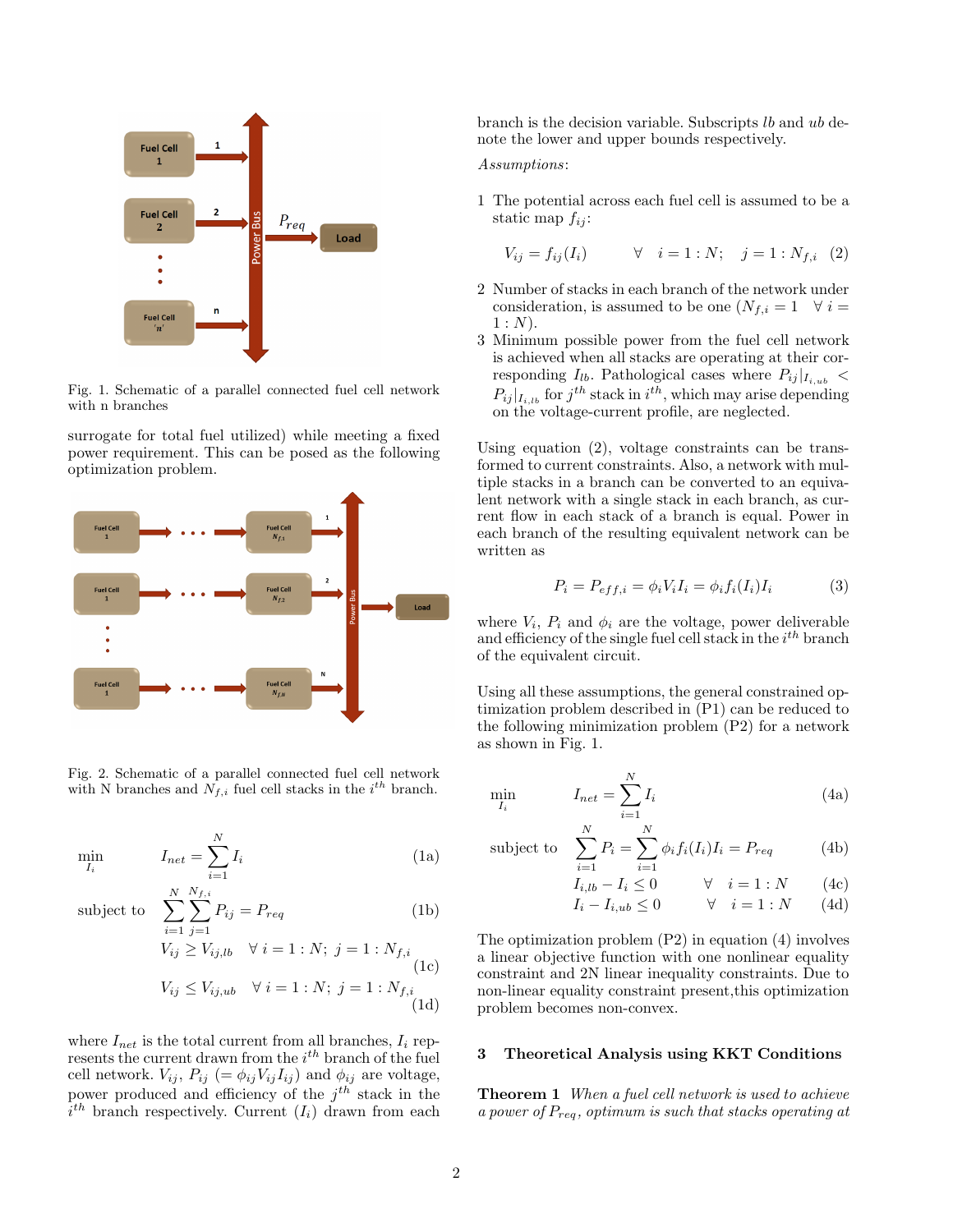

Fig. 1. Schematic of a parallel connected fuel cell network with n branches

surrogate for total fuel utilized) while meeting a fixed power requirement. This can be posed as the following optimization problem.



Fig. 2. Schematic of a parallel connected fuel cell network with N branches and  $N_{f,i}$  fuel cell stacks in the  $i^{th}$  branch.

$$
\min_{I_i} \qquad I_{net} = \sum_{i=1}^{N} I_i \tag{1a}
$$

subject to  $\sum$ 

$$
\sum_{j}^{N} \sum_{j}^{N_{f,i}} P_{ij} = P_{req}
$$
 (1b)

$$
i=1 \ j=1
$$
  
\n
$$
V_{ij} \ge V_{ij,lb} \quad \forall \ i=1:N; \ j=1:N_{f,i}
$$
  
\n
$$
V_{ij} \le V_{ij,ub} \quad \forall \ i=1:N; \ j=1:N_{f,i}
$$
  
\n(1c)  
\n(1d)

where  $I_{net}$  is the total current from all branches,  $I_i$  represents the current drawn from the  $i^{th}$  branch of the fuel cell network.  $V_{ij}$ ,  $P_{ij}$  (=  $\phi_{ij}V_{ij}I_{ij}$ ) and  $\phi_{ij}$  are voltage, power produced and efficiency of the  $j^{th}$  stack in the  $i^{th}$  branch respectively. Current  $(I_i)$  drawn from each branch is the decision variable. Subscripts lb and ub denote the lower and upper bounds respectively.

## Assumptions:

1 The potential across each fuel cell is assumed to be a static map  $f_{ij}$ :

$$
V_{ij} = f_{ij}(I_i) \qquad \forall \quad i = 1 : N; \quad j = 1 : N_{f,i} \quad (2)
$$

- 2 Number of stacks in each branch of the network under consideration, is assumed to be one  $(N_{f,i} = 1 \quad \forall i =$  $1 : N$ ).
- 3 Minimum possible power from the fuel cell network is achieved when all stacks are operating at their corresponding  $I_{lb}$ . Pathological cases where  $P_{ij}|_{I_{i,ub}}$  <  $P_{ij}|_{I_{i,lb}}$  for  $j^{th}$  stack in  $i^{th}$ , which may arise depending on the voltage-current profile, are neglected.

Using equation (2), voltage constraints can be transformed to current constraints. Also, a network with multiple stacks in a branch can be converted to an equivalent network with a single stack in each branch, as current flow in each stack of a branch is equal. Power in each branch of the resulting equivalent network can be written as

$$
P_i = P_{eff,i} = \phi_i V_i I_i = \phi_i f_i(I_i) I_i \tag{3}
$$

where  $V_i$ ,  $P_i$  and  $\phi_i$  are the voltage, power deliverable and efficiency of the single fuel cell stack in the  $i^{th}$  branch of the equivalent circuit.

Using all these assumptions, the general constrained optimization problem described in (P1) can be reduced to the following minimization problem (P2) for a network as shown in Fig. 1.

$$
\min_{I_i} \qquad I_{net} = \sum_{i=1}^{N} I_i \tag{4a}
$$

subject to 
$$
\sum_{i=1}^{N} P_i = \sum_{i=1}^{N} \phi_i f_i(I_i) I_i = P_{req}
$$
 (4b)

$$
I_{i,lb} - I_i \le 0 \qquad \forall \quad i = 1:N \qquad (4c)
$$

$$
I_i - I_{i,ub} \le 0 \qquad \forall \quad i = 1 : N \qquad (4d)
$$

The optimization problem (P2) in equation (4) involves a linear objective function with one nonlinear equality constraint and 2N linear inequality constraints. Due to non-linear equality constraint present,this optimization problem becomes non-convex.

#### 3 Theoretical Analysis using KKT Conditions

Theorem 1 When a fuel cell network is used to achieve a power of  $P_{req}$ , optimum is such that stacks operating at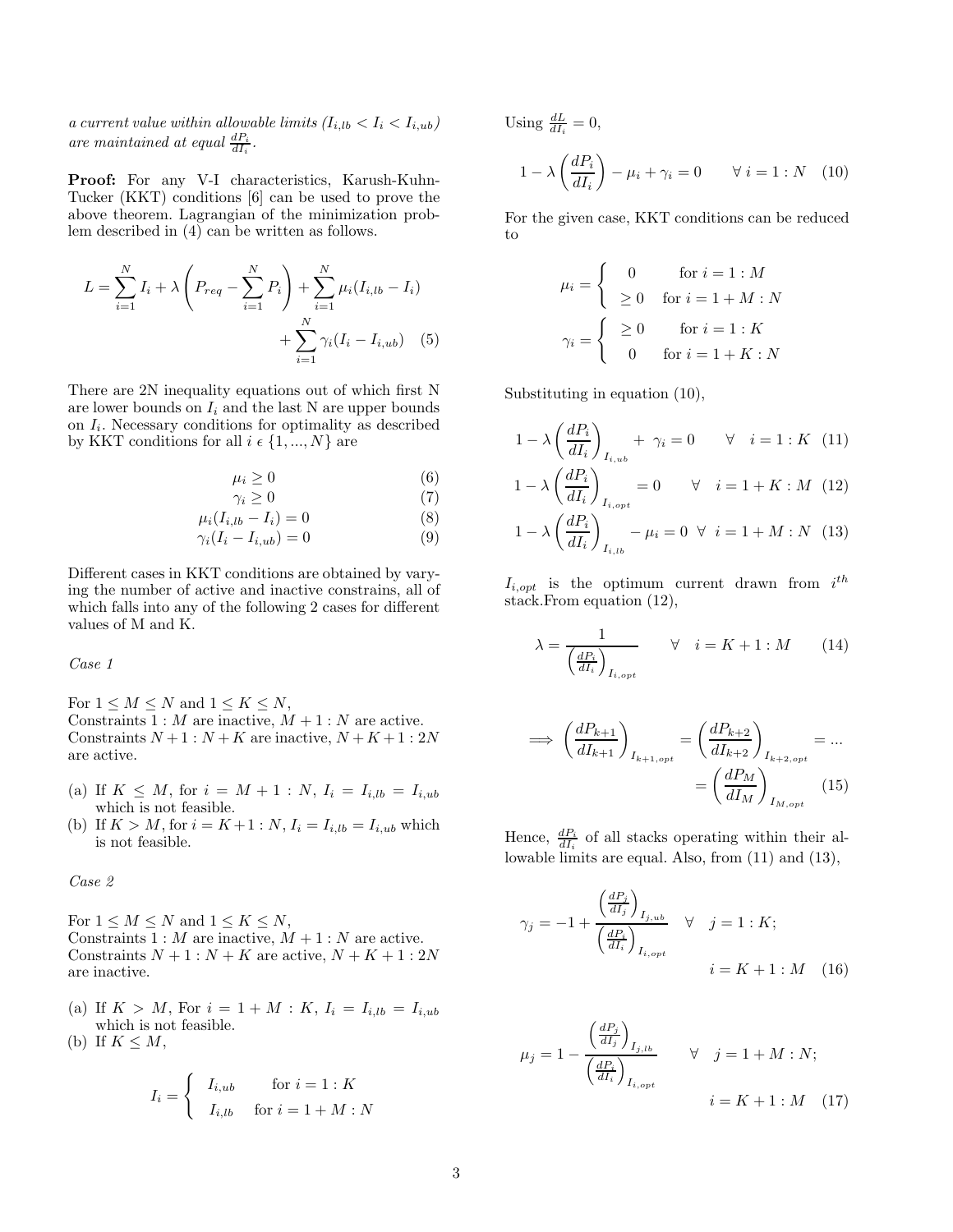a current value within allowable limits  $(I_{i,lb} < I_i < I_{i,ub})$ are maintained at equal  $\frac{dP_i}{dI_i}$ .

Proof: For any V-I characteristics, Karush-Kuhn-Tucker (KKT) conditions [6] can be used to prove the above theorem. Lagrangian of the minimization problem described in (4) can be written as follows.

$$
L = \sum_{i=1}^{N} I_i + \lambda \left( P_{req} - \sum_{i=1}^{N} P_i \right) + \sum_{i=1}^{N} \mu_i (I_{i, lb} - I_i) + \sum_{i=1}^{N} \gamma_i (I_i - I_{i, ub}) \quad (5)
$$

There are 2N inequality equations out of which first N are lower bounds on  $I_i$  and the last N are upper bounds on  $I_i$ . Necessary conditions for optimality as described by KKT conditions for all  $i \in \{1, ..., N\}$  are

$$
\mu_i \ge 0 \tag{6}
$$

$$
\gamma_i \ge 0\tag{7}
$$

$$
\mu_i(I_{i,lb} - I_i) = 0 \tag{8}
$$

$$
\gamma_i(I_i - I_{i,ub}) = 0 \tag{9}
$$

Different cases in KKT conditions are obtained by varying the number of active and inactive constrains, all of which falls into any of the following 2 cases for different values of M and K.

Case 1

For  $1 \leq M \leq N$  and  $1 \leq K \leq N$ , Constraints  $1 : M$  are inactive,  $M + 1 : N$  are active. Constraints  $N+1$ :  $N+K$  are inactive,  $N+K+1$ : 2N are active.

- (a) If  $K \leq M$ , for  $i = M + 1 : N$ ,  $I_i = I_{i, lb} = I_{i, ub}$ which is not feasible.
- (b) If  $K > M$ , for  $i = K + 1 : N$ ,  $I_i = I_{i, lb} = I_{i, ub}$  which is not feasible.

Case 2

For  $1 \leq M \leq N$  and  $1 \leq K \leq N$ , Constraints  $1 : M$  are inactive,  $M + 1 : N$  are active. Constraints  $N + 1 : N + K$  are active,  $N + K + 1 : 2N$ are inactive.

(a) If  $K > M$ , For  $i = 1 + M : K$ ,  $I_i = I_{i, lb} = I_{i, ub}$ which is not feasible.

(b) If 
$$
K \leq M
$$
,

$$
I_i = \begin{cases} I_{i,ub} & \text{for } i = 1:K \\ I_{i,lb} & \text{for } i = 1+M:N \end{cases}
$$

Using  $\frac{dL}{dI_i} = 0$ ,

$$
1 - \lambda \left(\frac{dP_i}{dI_i}\right) - \mu_i + \gamma_i = 0 \qquad \forall \ i = 1 : N \quad (10)
$$

For the given case, KKT conditions can be reduced to

$$
\mu_i = \begin{cases}\n0 & \text{for } i = 1 : M \\
\geq 0 & \text{for } i = 1 + M : N \\
\geq 0 & \text{for } i = 1 : K \\
0 & \text{for } i = 1 + K : N\n\end{cases}
$$

Substituting in equation (10),

$$
1 - \lambda \left(\frac{dP_i}{dI_i}\right)_{I_{i,ub}} + \gamma_i = 0 \quad \forall \quad i = 1:K \quad (11)
$$
  

$$
1 - \lambda \left(\frac{dP_i}{dI_i}\right)_{I_{i,opt}} = 0 \quad \forall \quad i = 1 + K: M \quad (12)
$$
  

$$
1 - \lambda \left(\frac{dP_i}{dI_i}\right)_{I_{i,lb}} - \mu_i = 0 \quad \forall \quad i = 1 + M: N \quad (13)
$$

 $I_{i,opt}$  is the optimum current drawn from  $i^{th}$ stack.From equation (12),

$$
\lambda = \frac{1}{\left(\frac{dP_i}{dI_i}\right)_{I_{i,opt}}} \qquad \forall \quad i = K + 1 : M \qquad (14)
$$

$$
\implies \left(\frac{dP_{k+1}}{dI_{k+1}}\right)_{I_{k+1,opt}} = \left(\frac{dP_{k+2}}{dI_{k+2}}\right)_{I_{k+2,opt}} = \dots
$$

$$
= \left(\frac{dP_M}{dI_M}\right)_{I_{M,opt}} \quad (15)
$$

Hence,  $\frac{dP_i}{dI_i}$  of all stacks operating within their allowable limits are equal. Also, from (11) and (13),

$$
\gamma_j = -1 + \frac{\left(\frac{dP_j}{dI_j}\right)_{I_{j,ub}}}{\left(\frac{dP_i}{dI_i}\right)_{I_{i,opt}}} \quad \forall \quad j = 1:K;
$$
  

$$
i = K + 1: M \quad (16)
$$

$$
\mu_j = 1 - \frac{\left(\frac{dP_j}{dI_j}\right)_{I_{j,lb}}}{\left(\frac{dP_i}{dI_i}\right)_{I_{i,opt}}} \quad \forall \quad j = 1 + M : N;
$$
\n
$$
i = K + 1 : M \quad (17)
$$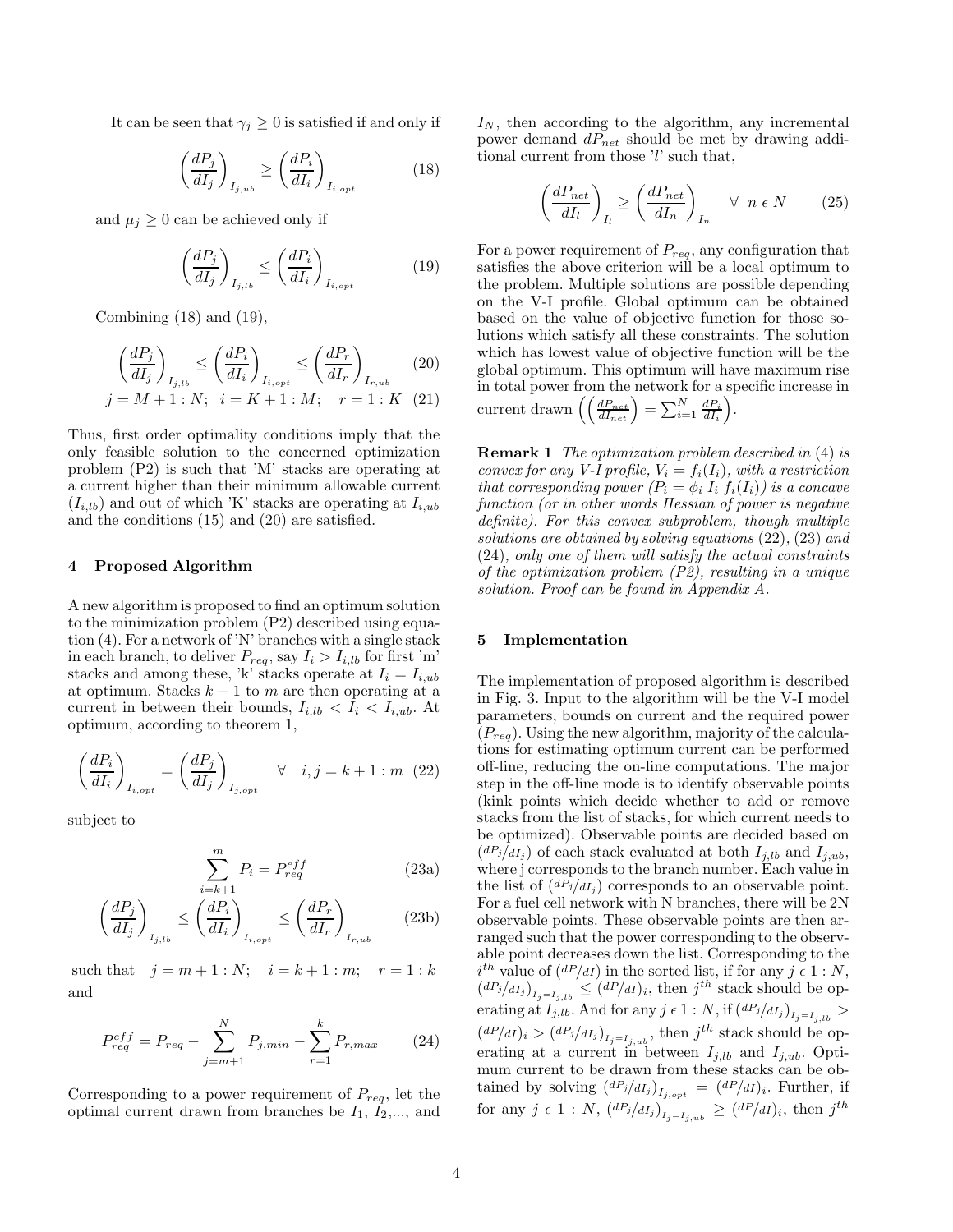It can be seen that  $\gamma_i \geq 0$  is satisfied if and only if

$$
\left(\frac{dP_j}{dI_j}\right)_{I_{j,ub}} \ge \left(\frac{dP_i}{dI_i}\right)_{I_{i,opt}}
$$
\n(18)

and  $\mu_j \geq 0$  can be achieved only if

$$
\left(\frac{dP_j}{dI_j}\right)_{I_{j,lb}} \le \left(\frac{dP_i}{dI_i}\right)_{I_{i,opt}}\tag{19}
$$

Combining  $(18)$  and  $(19)$ ,

$$
\left(\frac{dP_j}{dI_j}\right)_{I_{j,lb}} \le \left(\frac{dP_i}{dI_i}\right)_{I_{i,opt}} \le \left(\frac{dP_r}{dI_r}\right)_{I_{r,ub}} \eqno(20)
$$

$$
j = M + 1 : N; \quad i = K + 1 : M; \quad r = 1 : K \quad (21)
$$

Thus, first order optimality conditions imply that the only feasible solution to the concerned optimization problem (P2) is such that 'M' stacks are operating at a current higher than their minimum allowable current  $(I_{i,lb})$  and out of which 'K' stacks are operating at  $I_{i,ub}$ and the conditions (15) and (20) are satisfied.

#### 4 Proposed Algorithm

A new algorithm is proposed to find an optimum solution to the minimization problem (P2) described using equation (4). For a network of 'N' branches with a single stack in each branch, to deliver  $P_{req}$ , say  $I_i > I_{i, lb}$  for first 'm' stacks and among these, 'k' stacks operate at  $I_i = I_{i,ub}$ at optimum. Stacks  $k + 1$  to m are then operating at a current in between their bounds,  $I_{i,lb} < I_i < I_{i,ub}$ . At optimum, according to theorem 1,

$$
\left(\frac{dP_i}{dI_i}\right)_{I_{i,opt}} = \left(\frac{dP_j}{dI_j}\right)_{I_{j,opt}} \quad \forall \quad i, j = k + 1 : m \ (22)
$$

subject to

$$
\sum_{i=k+1}^{m} P_i = P_{req}^{eff} \tag{23a}
$$

$$
\left(\frac{dP_j}{dI_j}\right)_{I_{j,lb}} \le \left(\frac{dP_i}{dI_i}\right)_{I_{i,opt}} \le \left(\frac{dP_r}{dI_r}\right)_{I_{r,ub}} \tag{23b}
$$

such that  $j = m + 1 : N; i = k + 1 : m; r = 1 : k$ and

$$
P_{req}^{eff} = P_{req} - \sum_{j=m+1}^{N} P_{j,min} - \sum_{r=1}^{k} P_{r,max}
$$
 (24)

Corresponding to a power requirement of  $P_{req}$ , let the optimal current drawn from branches be  $I_1$ ,  $I_2$ ,..., and  $I_N$ , then according to the algorithm, any incremental power demand  $dP_{net}$  should be met by drawing additional current from those 'l' such that,

$$
\left(\frac{dP_{net}}{dI_l}\right)_{I_l} \ge \left(\frac{dP_{net}}{dI_n}\right)_{I_n} \quad \forall \ n \in N \tag{25}
$$

For a power requirement of  $P_{req}$ , any configuration that satisfies the above criterion will be a local optimum to the problem. Multiple solutions are possible depending on the V-I profile. Global optimum can be obtained based on the value of objective function for those solutions which satisfy all these constraints. The solution which has lowest value of objective function will be the global optimum. This optimum will have maximum rise in total power from the network for a specific increase in current drawn  $\left(\left(\frac{dP_{net}}{dI_{net}}\right) = \sum_{i=1}^{N} \frac{dP_i}{dI_i}\right)$ .

Remark 1 The optimization problem described in (4) is convex for any V-I profile,  $V_i = f_i(I_i)$ , with a restriction that corresponding power  $(P_i = \phi_i I_i f_i(I_i))$  is a concave function (or in other words Hessian of power is negative definite). For this convex subproblem, though multiple solutions are obtained by solving equations (22), (23) and (24), only one of them will satisfy the actual constraints of the optimization problem (P2), resulting in a unique solution. Proof can be found in Appendix A.

## 5 Implementation

The implementation of proposed algorithm is described in Fig. 3. Input to the algorithm will be the V-I model parameters, bounds on current and the required power  $(P_{req})$ . Using the new algorithm, majority of the calculations for estimating optimum current can be performed off-line, reducing the on-line computations. The major step in the off-line mode is to identify observable points (kink points which decide whether to add or remove stacks from the list of stacks, for which current needs to be optimized). Observable points are decided based on  $(dP_j/dI_j)$  of each stack evaluated at both  $I_{j,lb}$  and  $I_{j,ub}$ , where j corresponds to the branch number. Each value in the list of  $\left(\frac{dP_j}{dI_i}\right)$  corresponds to an observable point. For a fuel cell network with N branches, there will be 2N observable points. These observable points are then arranged such that the power corresponding to the observable point decreases down the list. Corresponding to the  $i^{th}$  value of  $\left(\frac{dP}{dI}\right)$  in the sorted list, if for any  $j \in 1:N$ ,  $(dP_j/dI_j)_{I_j=I_j,lb} \leq (dP/dI)_i$ , then  $j^{th}$  stack should be op- $\text{erating at } I_{j,lb}. \text{ And for any } j \in 1:N, \text{ if } \left(\frac{dP_j}{dI_j}\right)_{I_j=I_{j,lb}} > 0$  $(dP/dI)_i > (dP_j/dI_j)_{I_j = I_{j,ub}}$ , then  $j^{th}$  stack should be operating at a current in between  $I_{j,lb}$  and  $I_{j,ub}$ . Optimum current to be drawn from these stacks can be obtained by solving  $\left(\frac{dP_j}{dI_j}\right)_{I_j, opt} = \left(\frac{dP}{dI}\right)_i$ . Further, if for any  $j \in 1 : N$ ,  $\left(\frac{dP_j}{dI_j}\right)_{I_j = I_{j,ub}} \geq \left(\frac{dP}{dI}\right)_i$ , then  $j^{th}$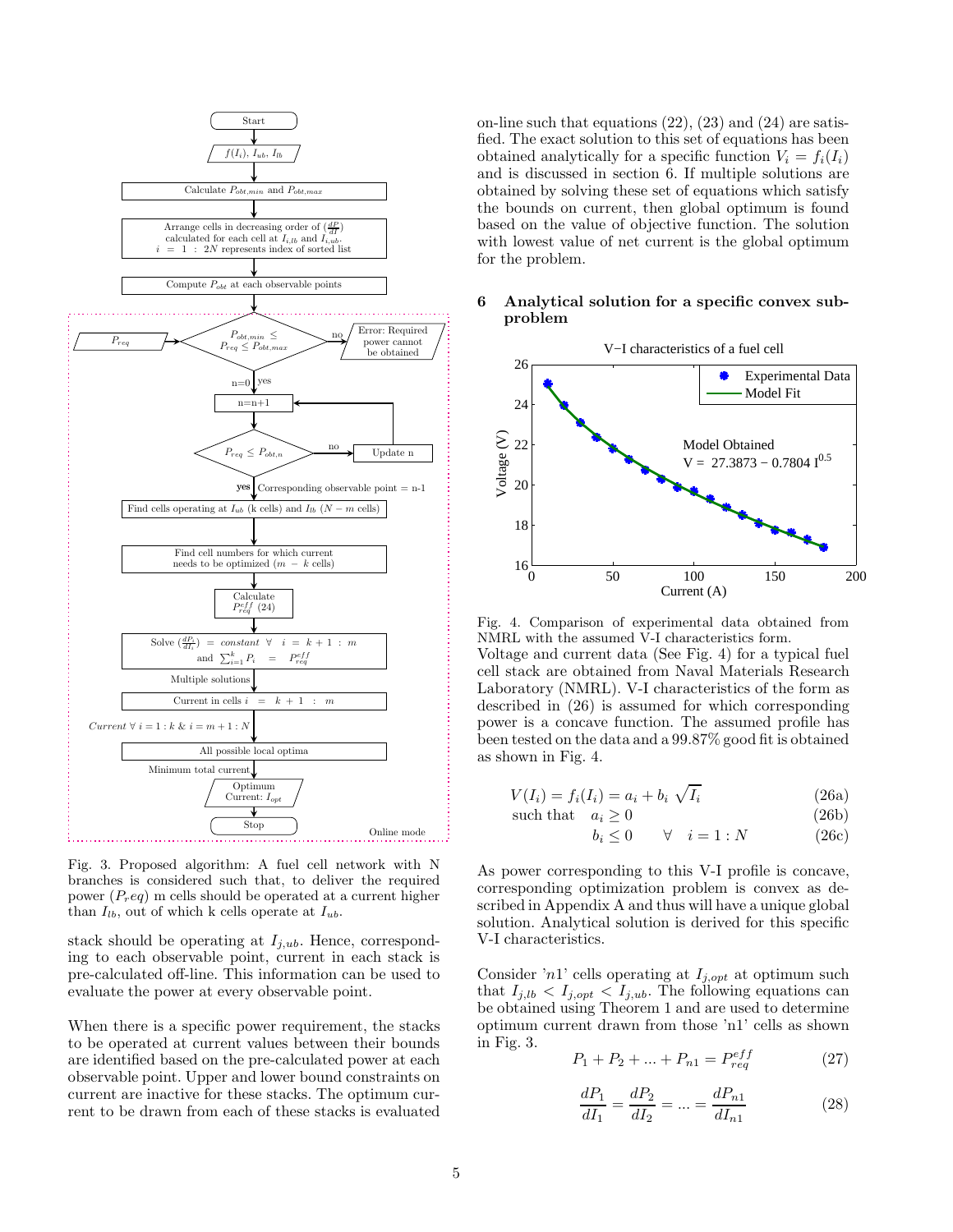

Fig. 3. Proposed algorithm: A fuel cell network with N branches is considered such that, to deliver the required power  $(P_{r}eq)$  m cells should be operated at a current higher than  $I_{lb}$ , out of which k cells operate at  $I_{ub}$ .

stack should be operating at  $I_{j,ub}$ . Hence, corresponding to each observable point, current in each stack is pre-calculated off-line. This information can be used to evaluate the power at every observable point.

When there is a specific power requirement, the stacks to be operated at current values between their bounds are identified based on the pre-calculated power at each observable point. Upper and lower bound constraints on current are inactive for these stacks. The optimum current to be drawn from each of these stacks is evaluated on-line such that equations (22), (23) and (24) are satisfied. The exact solution to this set of equations has been obtained analytically for a specific function  $V_i = f_i(I_i)$ and is discussed in section 6. If multiple solutions are obtained by solving these set of equations which satisfy the bounds on current, then global optimum is found based on the value of objective function. The solution with lowest value of net current is the global optimum for the problem.

#### 6 Analytical solution for a specific convex subproblem



Fig. 4. Comparison of experimental data obtained from NMRL with the assumed V-I characteristics form. Voltage and current data (See Fig. 4) for a typical fuel cell stack are obtained from Naval Materials Research Laboratory (NMRL). V-I characteristics of the form as described in (26) is assumed for which corresponding power is a concave function. The assumed profile has been tested on the data and a 99.87% good fit is obtained as shown in Fig. 4.

$$
V(I_i) = f_i(I_i) = a_i + b_i \sqrt{I_i}
$$
\n(26a)

such that 
$$
a_i \ge 0
$$
 (26b)

$$
b_i \le 0 \qquad \forall \quad i = 1:N \tag{26c}
$$

As power corresponding to this V-I profile is concave, corresponding optimization problem is convex as described in Appendix A and thus will have a unique global solution. Analytical solution is derived for this specific V-I characteristics.

Consider 'n<sup>1</sup>' cells operating at  $I_{j,opt}$  at optimum such that  $I_{j,lb} < I_{j,opt} < I_{j,ub}$ . The following equations can be obtained using Theorem 1 and are used to determine optimum current drawn from those 'n1' cells as shown in Fig. 3.

$$
P_1 + P_2 + \dots + P_{n1} = P_{req}^{eff} \tag{27}
$$

$$
\frac{dP_1}{dI_1} = \frac{dP_2}{dI_2} = \dots = \frac{dP_{n1}}{dI_{n1}}
$$
\n(28)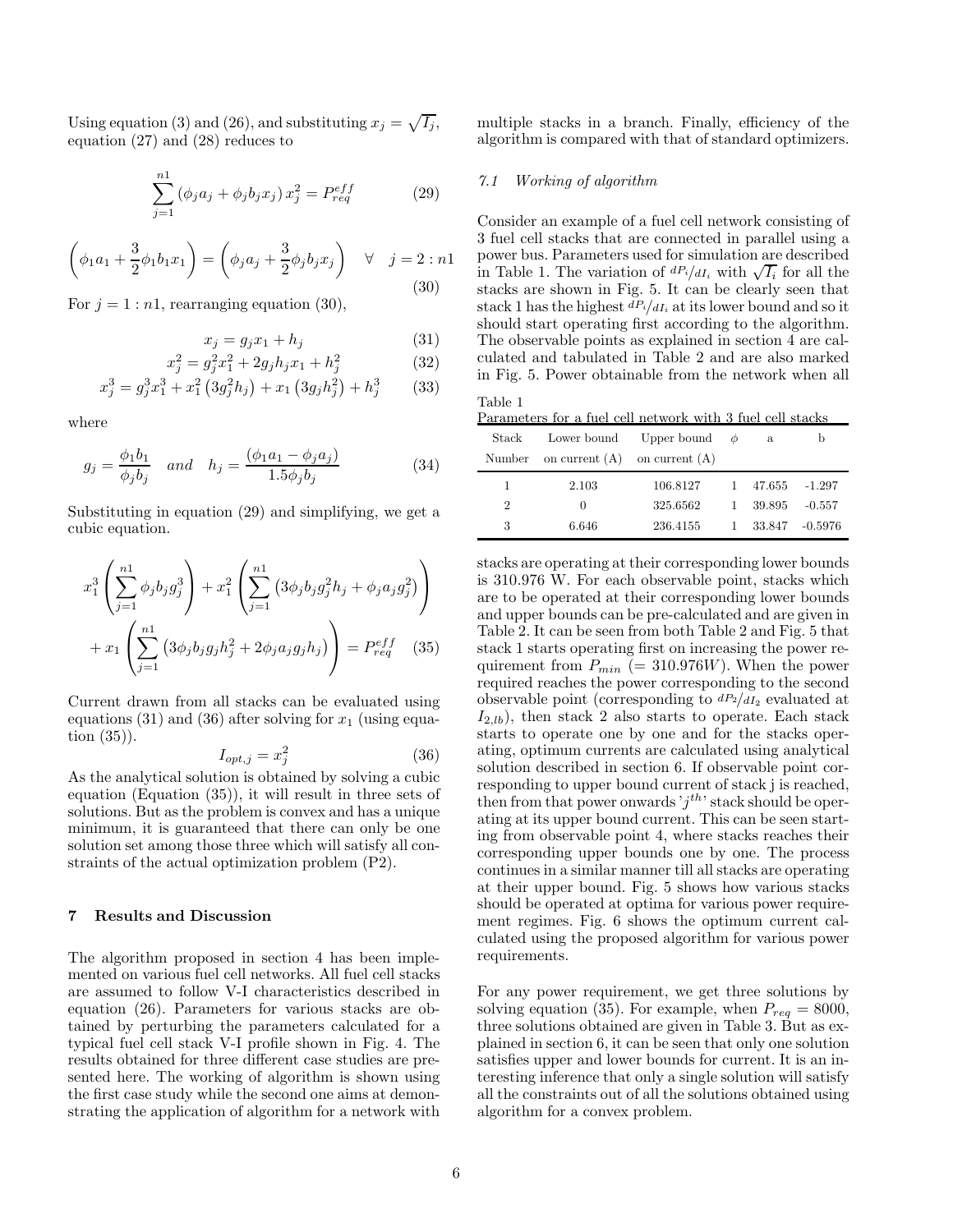Using equation (3) and (26), and substituting  $x_j = \sqrt{I_j}$ , equation (27) and (28) reduces to

$$
\sum_{j=1}^{n1} (\phi_j a_j + \phi_j b_j x_j) x_j^2 = P_{req}^{eff}
$$
 (29)

$$
\left(\phi_1 a_1 + \frac{3}{2}\phi_1 b_1 x_1\right) = \left(\phi_j a_j + \frac{3}{2}\phi_j b_j x_j\right) \quad \forall \quad j = 2:n!
$$
\n(30)

For  $j = 1 : n1$ , rearranging equation (30),

$$
x_j = g_j x_1 + h_j \tag{31}
$$

$$
x_j^2 = g_j^2 x_1^2 + 2g_j h_j x_1 + h_j^2 \tag{32}
$$

$$
x_j^3 = g_j^3 x_1^3 + x_1^2 (3g_j^2 h_j) + x_1 (3g_j h_j^2) + h_j^3 \qquad (33)
$$

where

$$
g_j = \frac{\phi_1 b_1}{\phi_j b_j} \quad and \quad h_j = \frac{(\phi_1 a_1 - \phi_j a_j)}{1.5 \phi_j b_j} \tag{34}
$$

Substituting in equation (29) and simplifying, we get a cubic equation.

$$
x_1^3 \left( \sum_{j=1}^{n1} \phi_j b_j g_j^3 \right) + x_1^2 \left( \sum_{j=1}^{n1} \left( 3\phi_j b_j g_j^2 h_j + \phi_j a_j g_j^2 \right) \right) + x_1 \left( \sum_{j=1}^{n1} \left( 3\phi_j b_j g_j h_j^2 + 2\phi_j a_j g_j h_j \right) \right) = P_{req}^{eff} \quad (35)
$$

Current drawn from all stacks can be evaluated using equations (31) and (36) after solving for  $x_1$  (using equation (35)).

$$
I_{opt,j} = x_j^2 \tag{36}
$$

As the analytical solution is obtained by solving a cubic equation (Equation (35)), it will result in three sets of solutions. But as the problem is convex and has a unique minimum, it is guaranteed that there can only be one solution set among those three which will satisfy all constraints of the actual optimization problem (P2).

## 7 Results and Discussion

The algorithm proposed in section 4 has been implemented on various fuel cell networks. All fuel cell stacks are assumed to follow V-I characteristics described in equation (26). Parameters for various stacks are obtained by perturbing the parameters calculated for a typical fuel cell stack V-I profile shown in Fig. 4. The results obtained for three different case studies are presented here. The working of algorithm is shown using the first case study while the second one aims at demonstrating the application of algorithm for a network with multiple stacks in a branch. Finally, efficiency of the algorithm is compared with that of standard optimizers.

## 7.1 Working of algorithm

Consider an example of a fuel cell network consisting of 3 fuel cell stacks that are connected in parallel using a power bus. Parameters used for simulation are described in Table 1. The variation of  $dP_i/dI_i$  with  $\sqrt{I_i}$  for all the stacks are shown in Fig. 5. It can be clearly seen that stack 1 has the highest  $dP_i/dI_i$  at its lower bound and so it should start operating first according to the algorithm. The observable points as explained in section 4 are calculated and tabulated in Table 2 and are also marked in Fig. 5. Power obtainable from the network when all

| Table 1 |                                                            |  |
|---------|------------------------------------------------------------|--|
|         | Parameters for a fuel cell network with 3 fuel cell stacks |  |

| Stack          |                                   | Lower bound Upper bound $\phi$ |              | a        | b        |
|----------------|-----------------------------------|--------------------------------|--------------|----------|----------|
| Number         | on current $(A)$ on current $(A)$ |                                |              |          |          |
| 1              | 2.103                             | 106.8127                       |              | 1 47.655 | -1.297   |
| $\overline{2}$ | $\theta$                          | 325.6562                       | $\mathbf{1}$ | -39.895  | $-0.557$ |
| 3              | 6.646                             | 236.4155                       |              | 1 33.847 | -0.5976  |

stacks are operating at their corresponding lower bounds is 310.976 W. For each observable point, stacks which are to be operated at their corresponding lower bounds and upper bounds can be pre-calculated and are given in Table 2. It can be seen from both Table 2 and Fig. 5 that stack 1 starts operating first on increasing the power requirement from  $P_{min}$  (= 310.976W). When the power required reaches the power corresponding to the second observable point (corresponding to  $dP_2/dI_2$  evaluated at  $I_{2,lb}$ , then stack 2 also starts to operate. Each stack starts to operate one by one and for the stacks operating, optimum currents are calculated using analytical solution described in section 6. If observable point corresponding to upper bound current of stack j is reached, then from that power onwards ' $j^{th}$ ' stack should be operating at its upper bound current. This can be seen starting from observable point 4, where stacks reaches their corresponding upper bounds one by one. The process continues in a similar manner till all stacks are operating at their upper bound. Fig. 5 shows how various stacks should be operated at optima for various power requirement regimes. Fig. 6 shows the optimum current calculated using the proposed algorithm for various power requirements.

For any power requirement, we get three solutions by solving equation (35). For example, when  $P_{req} = 8000$ , three solutions obtained are given in Table 3. But as explained in section 6, it can be seen that only one solution satisfies upper and lower bounds for current. It is an interesting inference that only a single solution will satisfy all the constraints out of all the solutions obtained using algorithm for a convex problem.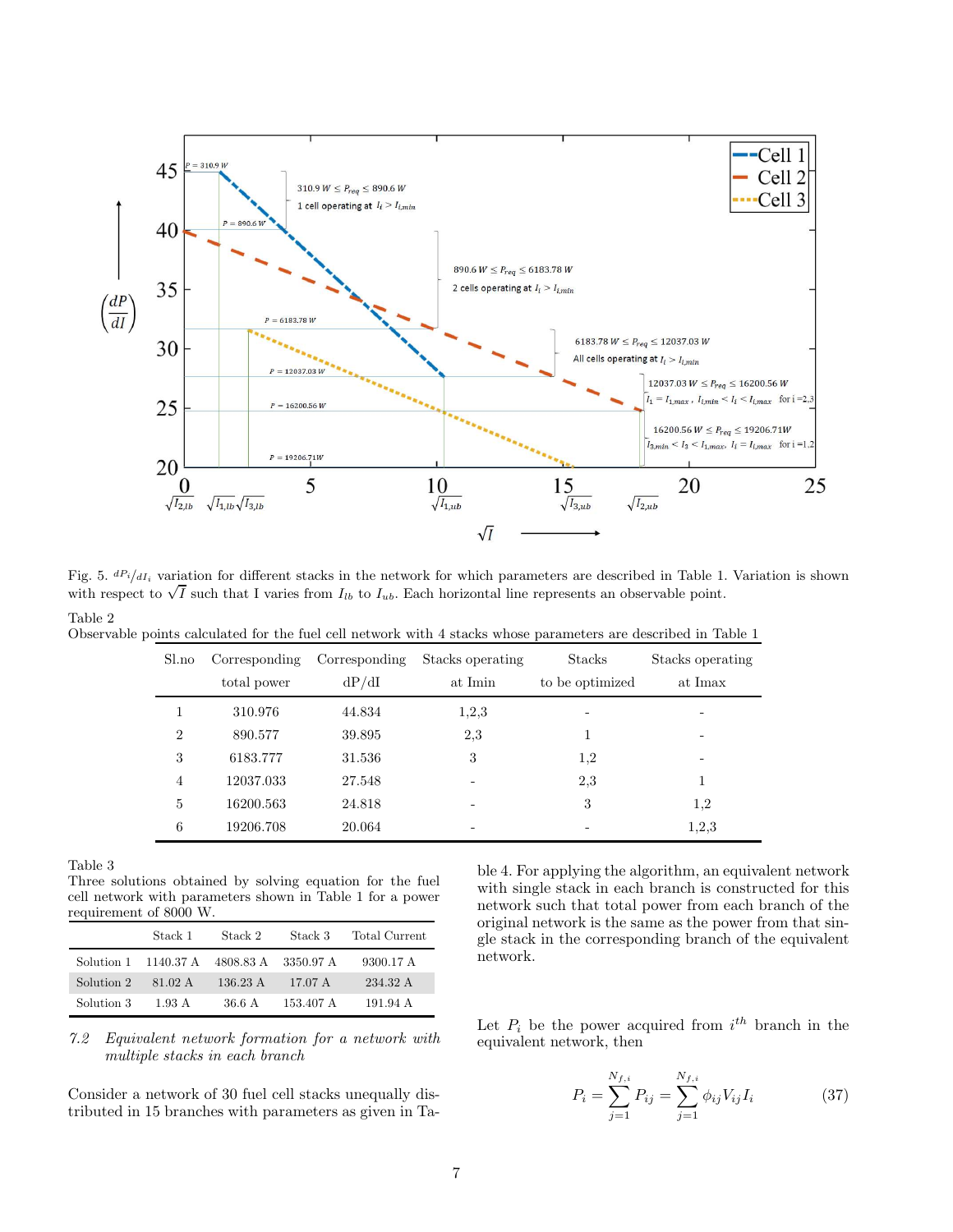

Fig. 5.  $dP_i/dI_i$  variation for different stacks in the network for which parameters are described in Table 1. Variation is shown with respect to  $\sqrt{I}$  such that I varies from  $I_{lb}$  to  $I_{ub}$ . Each horizontal line represents an observable point. Table 2

Observable points calculated for the fuel cell network with 4 stacks whose parameters are described in Table 1

| Sl.no          | Corresponding<br>total power | Corresponding<br>dP/dI | Stacks operating<br>at Imin | <b>Stacks</b><br>to be optimized | Stacks operating<br>at Imax |
|----------------|------------------------------|------------------------|-----------------------------|----------------------------------|-----------------------------|
|                |                              |                        |                             |                                  |                             |
|                | 310.976                      | 44.834                 | 1,2,3                       |                                  |                             |
| $\overline{2}$ | 890.577                      | 39.895                 | 2,3                         |                                  |                             |
| 3              | 6183.777                     | 31.536                 | 3                           | 1,2                              |                             |
| 4              | 12037.033                    | 27.548                 |                             | 2,3                              |                             |
| 5              | 16200.563                    | 24.818                 |                             | 3                                | 1.2                         |
| 6              | 19206.708                    | 20.064                 | $\overline{\phantom{0}}$    | -                                | 1,2,3                       |

Table 3

Three solutions obtained by solving equation for the fuel cell network with parameters shown in Table 1 for a power requirement of 8000 W.

|            | Stack 1                        | Stack 2            | Stack 3   | Total Current |
|------------|--------------------------------|--------------------|-----------|---------------|
|            | Solution 1 1140.37 A 4808.83 A |                    | 3350.97 A | 9300.17 A     |
| Solution 2 | 81.02 A                        | $136.23 \text{ A}$ | 17.07 A   | 234.32 A      |
| Solution 3 | 1.93 A                         | 36.6 A             | 153.407 A | 191.94 A      |

7.2 Equivalent network formation for a network with multiple stacks in each branch

Consider a network of 30 fuel cell stacks unequally distributed in 15 branches with parameters as given in Table 4. For applying the algorithm, an equivalent network with single stack in each branch is constructed for this network such that total power from each branch of the original network is the same as the power from that single stack in the corresponding branch of the equivalent network.

Let  $P_i$  be the power acquired from  $i^{th}$  branch in the equivalent network, then

$$
P_i = \sum_{j=1}^{N_{f,i}} P_{ij} = \sum_{j=1}^{N_{f,i}} \phi_{ij} V_{ij} I_i
$$
 (37)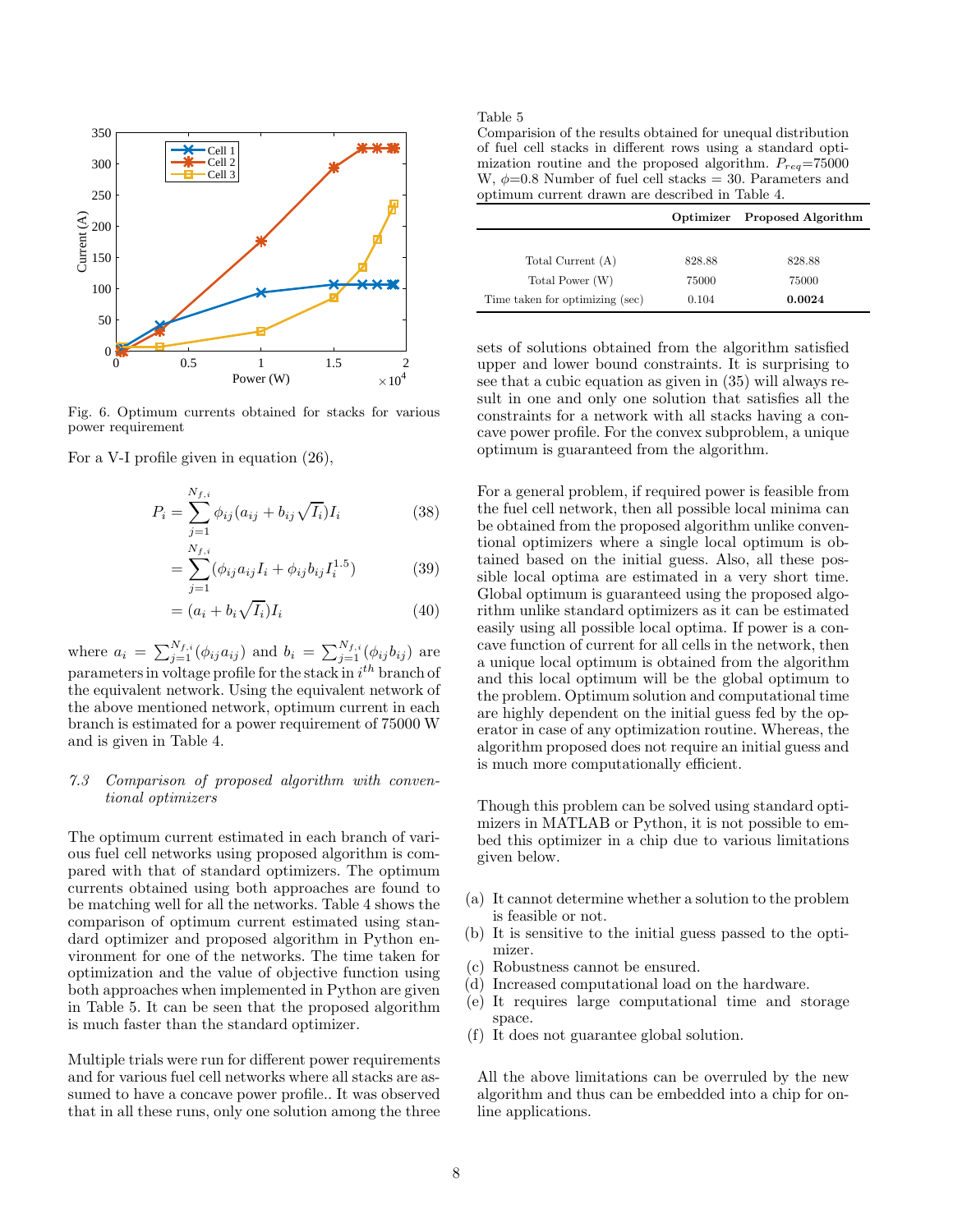

Fig. 6. Optimum currents obtained for stacks for various power requirement

For a V-I profile given in equation (26),

$$
P_i = \sum_{j=1}^{N_{f,i}} \phi_{ij} (a_{ij} + b_{ij} \sqrt{I_i}) I_i
$$
 (38)

$$
= \sum_{j=1}^{N_{f,i}} (\phi_{ij} a_{ij} I_i + \phi_{ij} b_{ij} I_i^{1.5})
$$
 (39)

$$
= (a_i + b_i \sqrt{I_i}) I_i \tag{40}
$$

where  $a_i = \sum_{j=1}^{N_{f,i}} (\phi_{ij} a_{ij})$  and  $b_i = \sum_{j=1}^{N_{f,i}} (\phi_{ij} b_{ij})$  are parameters in voltage profile for the stack in  $i^{th}$  branch of the equivalent network. Using the equivalent network of the above mentioned network, optimum current in each branch is estimated for a power requirement of 75000 W and is given in Table 4.

## 7.3 Comparison of proposed algorithm with conventional optimizers

The optimum current estimated in each branch of various fuel cell networks using proposed algorithm is compared with that of standard optimizers. The optimum currents obtained using both approaches are found to be matching well for all the networks. Table 4 shows the comparison of optimum current estimated using standard optimizer and proposed algorithm in Python environment for one of the networks. The time taken for optimization and the value of objective function using both approaches when implemented in Python are given in Table 5. It can be seen that the proposed algorithm is much faster than the standard optimizer.

Multiple trials were run for different power requirements and for various fuel cell networks where all stacks are assumed to have a concave power profile.. It was observed that in all these runs, only one solution among the three Table 5

Comparision of the results obtained for unequal distribution of fuel cell stacks in different rows using a standard optimization routine and the proposed algorithm.  $P_{req} = 75000$ W,  $\phi$ =0.8 Number of fuel cell stacks = 30. Parameters and optimum current drawn are described in Table 4.

|                                 | Optimizer | <b>Proposed Algorithm</b> |
|---------------------------------|-----------|---------------------------|
|                                 |           |                           |
| Total Current (A)               | 828.88    | 828.88                    |
| Total Power (W)                 | 75000     | 75000                     |
| Time taken for optimizing (sec) | 0.104     | 0.0024                    |

sets of solutions obtained from the algorithm satisfied upper and lower bound constraints. It is surprising to see that a cubic equation as given in (35) will always result in one and only one solution that satisfies all the constraints for a network with all stacks having a concave power profile. For the convex subproblem, a unique optimum is guaranteed from the algorithm.

For a general problem, if required power is feasible from the fuel cell network, then all possible local minima can be obtained from the proposed algorithm unlike conventional optimizers where a single local optimum is obtained based on the initial guess. Also, all these possible local optima are estimated in a very short time. Global optimum is guaranteed using the proposed algorithm unlike standard optimizers as it can be estimated easily using all possible local optima. If power is a concave function of current for all cells in the network, then a unique local optimum is obtained from the algorithm and this local optimum will be the global optimum to the problem. Optimum solution and computational time are highly dependent on the initial guess fed by the operator in case of any optimization routine. Whereas, the algorithm proposed does not require an initial guess and is much more computationally efficient.

Though this problem can be solved using standard optimizers in MATLAB or Python, it is not possible to embed this optimizer in a chip due to various limitations given below.

- (a) It cannot determine whether a solution to the problem is feasible or not.
- (b) It is sensitive to the initial guess passed to the optimizer.
- (c) Robustness cannot be ensured.
- (d) Increased computational load on the hardware.
- (e) It requires large computational time and storage space.
- (f) It does not guarantee global solution.

All the above limitations can be overruled by the new algorithm and thus can be embedded into a chip for online applications.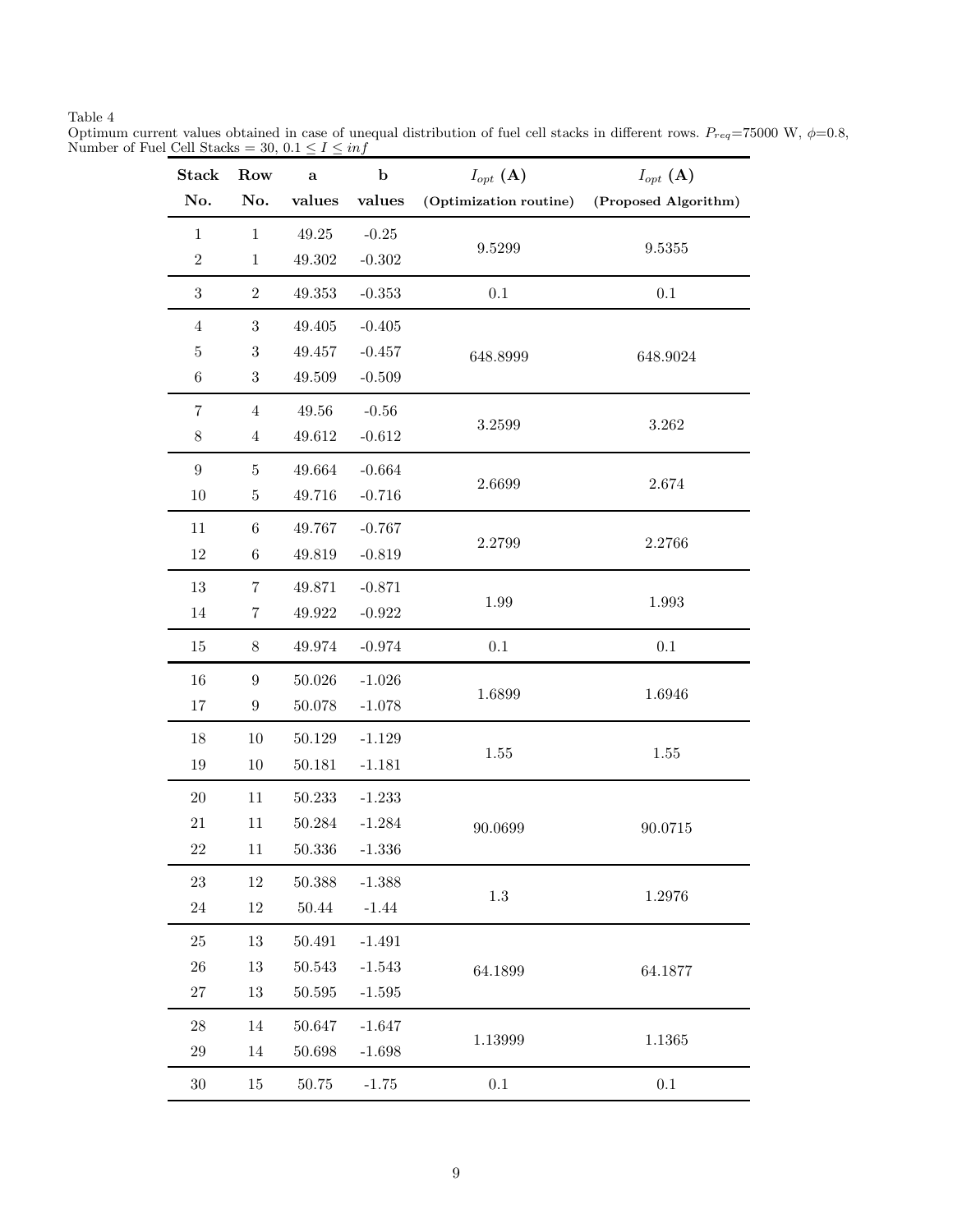Table 4

Optimum current values obtained in case of unequal distribution of fuel cell stacks in different rows.  $P_{req}$ =75000 W,  $\phi$ =0.8, Number of Fuel Cell Stacks = 30,  $0.1 \le I \le inf$ 

| <b>Stack</b>     | Row              | a           | $\mathbf b$ | $I_{opt}(\mathbf{A})$  | $I_{opt}(\mathbf{A})$ |
|------------------|------------------|-------------|-------------|------------------------|-----------------------|
| No.              | No.              | values      | values      | (Optimization routine) | (Proposed Algorithm)  |
| $\,1$            | $\mathbf{1}$     | 49.25       | $-0.25$     |                        |                       |
| $\sqrt{2}$       | $\mathbf{1}$     | 49.302      | $-0.302$    | 9.5299                 | 9.5355                |
| $\sqrt{3}$       | $\mathbf{2}$     | 49.353      | $-0.353$    | $0.1\,$                | $0.1\,$               |
| $\overline{4}$   | $\sqrt{3}$       | 49.405      | $-0.405$    |                        |                       |
| $\bf 5$          | $\sqrt{3}$       | 49.457      | $-0.457$    | 648.8999               | 648.9024              |
| $\,6\,$          | $\,3$            | 49.509      | $-0.509$    |                        |                       |
| $\!\!7$          | $\overline{4}$   | $\rm 49.56$ | $-0.56$     |                        |                       |
| $8\,$            | $\overline{4}$   | 49.612      | $-0.612$    | 3.2599                 | $3.262\,$             |
| $\boldsymbol{9}$ | 5                | 49.664      | $-0.664$    |                        |                       |
| 10               | $\bf 5$          | 49.716      | $-0.716$    | 2.6699                 | 2.674                 |
| 11               | 6                | 49.767      | $-0.767$    |                        |                       |
| 12               | $\,6$            | 49.819      | $-0.819$    | 2.2799                 | 2.2766                |
| $13\,$           | 7                | 49.871      | $-0.871$    |                        |                       |
| 14               | 7                | 49.922      | $-0.922$    | 1.99                   | 1.993                 |
| 15               | $8\,$            | 49.974      | $-0.974$    | 0.1                    | 0.1                   |
| 16               | $\boldsymbol{9}$ | $50.026\,$  | $-1.026$    |                        |                       |
| 17               | $\boldsymbol{9}$ | 50.078      | $-1.078$    | 1.6899                 | 1.6946                |
| 18               | $10\,$           | 50.129      | $-1.129$    |                        |                       |
| 19               | 10               | 50.181      | $-1.181$    | 1.55                   | 1.55                  |
| 20               | 11               | 50.233      | $-1.233$    |                        |                       |
| 21               | 11               | 50.284      | $-1.284$    | 90.0699                | 90.0715               |
| $22\,$           | 11               | 50.336      | $-1.336$    |                        |                       |
| 23               | 12               | 50.388      | $-1.388$    |                        |                       |
| $24\,$           | $12\,$           | $50.44\,$   | $-1.44$     | $1.3\,$                | 1.2976                |
| $25\,$           | 13               | 50.491      | $-1.491$    |                        |                       |
| 26               | 13               | 50.543      | $-1.543$    | 64.1899                | 64.1877               |
| $27\,$           | $13\,$           | $50.595\,$  | $-1.595$    |                        |                       |
| $\sqrt{28}$      | 14               | 50.647      | $-1.647$    |                        |                       |
| 29               | 14               | 50.698      | $-1.698$    | 1.13999                | 1.1365                |
| $30\,$           | $15\,$           | 50.75       | $-1.75$     | 0.1                    | $0.1\,$               |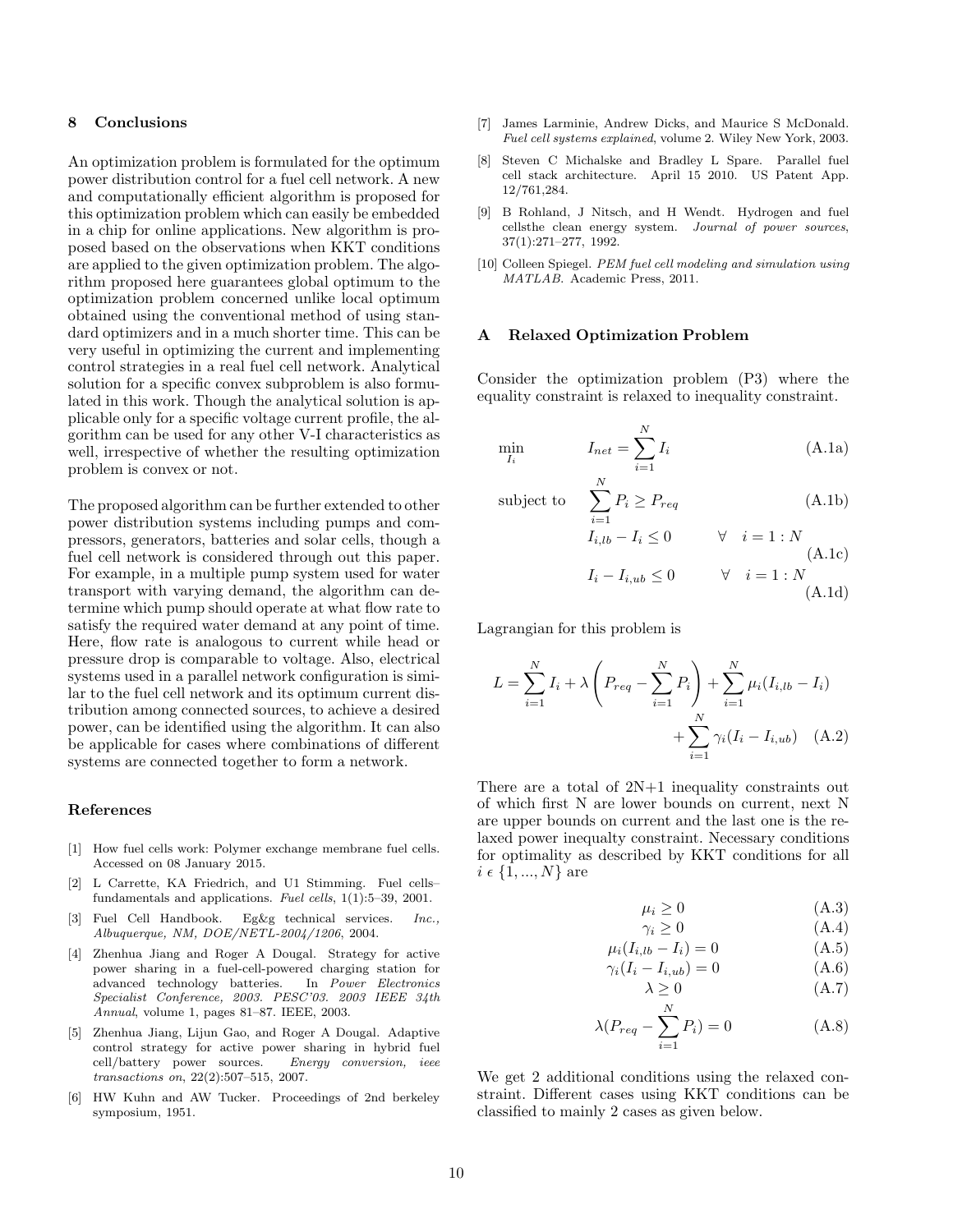#### 8 Conclusions

An optimization problem is formulated for the optimum power distribution control for a fuel cell network. A new and computationally efficient algorithm is proposed for this optimization problem which can easily be embedded in a chip for online applications. New algorithm is proposed based on the observations when KKT conditions are applied to the given optimization problem. The algorithm proposed here guarantees global optimum to the optimization problem concerned unlike local optimum obtained using the conventional method of using standard optimizers and in a much shorter time. This can be very useful in optimizing the current and implementing control strategies in a real fuel cell network. Analytical solution for a specific convex subproblem is also formulated in this work. Though the analytical solution is applicable only for a specific voltage current profile, the algorithm can be used for any other V-I characteristics as well, irrespective of whether the resulting optimization problem is convex or not.

The proposed algorithm can be further extended to other power distribution systems including pumps and compressors, generators, batteries and solar cells, though a fuel cell network is considered through out this paper. For example, in a multiple pump system used for water transport with varying demand, the algorithm can determine which pump should operate at what flow rate to satisfy the required water demand at any point of time. Here, flow rate is analogous to current while head or pressure drop is comparable to voltage. Also, electrical systems used in a parallel network configuration is similar to the fuel cell network and its optimum current distribution among connected sources, to achieve a desired power, can be identified using the algorithm. It can also be applicable for cases where combinations of different systems are connected together to form a network.

### References

- [1] How fuel cells work: Polymer exchange membrane fuel cells. Accessed on 08 January 2015.
- [2] L Carrette, KA Friedrich, and U1 Stimming. Fuel cells– fundamentals and applications. Fuel cells, 1(1):5–39, 2001.
- [3] Fuel Cell Handbook. Eg&g technical services. Inc., Albuquerque, NM, DOE/NETL-2004/1206, 2004.
- [4] Zhenhua Jiang and Roger A Dougal. Strategy for active power sharing in a fuel-cell-powered charging station for advanced technology batteries. In Power Electronics Specialist Conference, 2003. PESC'03. 2003 IEEE 34th Annual, volume 1, pages 81–87. IEEE, 2003.
- [5] Zhenhua Jiang, Lijun Gao, and Roger A Dougal. Adaptive control strategy for active power sharing in hybrid fuel cell/battery power sources. Energy conversion, ieee transactions on, 22(2):507–515, 2007.
- [6] HW Kuhn and AW Tucker. Proceedings of 2nd berkeley symposium, 1951.
- [7] James Larminie, Andrew Dicks, and Maurice S McDonald. Fuel cell systems explained, volume 2. Wiley New York, 2003.
- [8] Steven C Michalske and Bradley L Spare. Parallel fuel cell stack architecture. April 15 2010. US Patent App. 12/761,284.
- [9] B Rohland, J Nitsch, and H Wendt. Hydrogen and fuel cellsthe clean energy system. Journal of power sources, 37(1):271–277, 1992.
- [10] Colleen Spiegel. PEM fuel cell modeling and simulation using MATLAB. Academic Press, 2011.

#### A Relaxed Optimization Problem

Consider the optimization problem (P3) where the equality constraint is relaxed to inequality constraint.

$$
\min_{I_i} \qquad I_{net} = \sum_{i=1}^{N} I_i \tag{A.1a}
$$

subject to 
$$
\sum_{i=1}^{N} P_i \ge P_{req}
$$
 (A.1b)

$$
I_{i,lb} - I_i \le 0 \qquad \forall \quad i = 1 : N
$$
  
\n
$$
I_i - I_{i,ub} \le 0 \qquad \forall \quad i = 1 : N
$$
  
\n(A.1d)

Lagrangian for this problem is

$$
L = \sum_{i=1}^{N} I_i + \lambda \left( P_{req} - \sum_{i=1}^{N} P_i \right) + \sum_{i=1}^{N} \mu_i (I_{i, lb} - I_i) + \sum_{i=1}^{N} \gamma_i (I_i - I_{i, ub})
$$
 (A.2)

There are a total of 2N+1 inequality constraints out of which first N are lower bounds on current, next N are upper bounds on current and the last one is the relaxed power inequalty constraint. Necessary conditions for optimality as described by KKT conditions for all  $i \in \{1, ..., N\}$  are

$$
\mu_i \ge 0 \tag{A.3}
$$

$$
\gamma_i \ge 0 \tag{A.4}
$$

$$
\mu_i(I_{i,lb} - I_i) = 0
$$
\n
$$
\gamma_i(I_i - I_{i,ub}) = 0
$$
\n(A.6)

$$
\lambda \ge 0 \tag{A.7}
$$

$$
\lambda(P_{req} - \sum_{i=1}^{N} P_i) = 0
$$
\n(A.8)

We get 2 additional conditions using the relaxed constraint. Different cases using KKT conditions can be classified to mainly 2 cases as given below.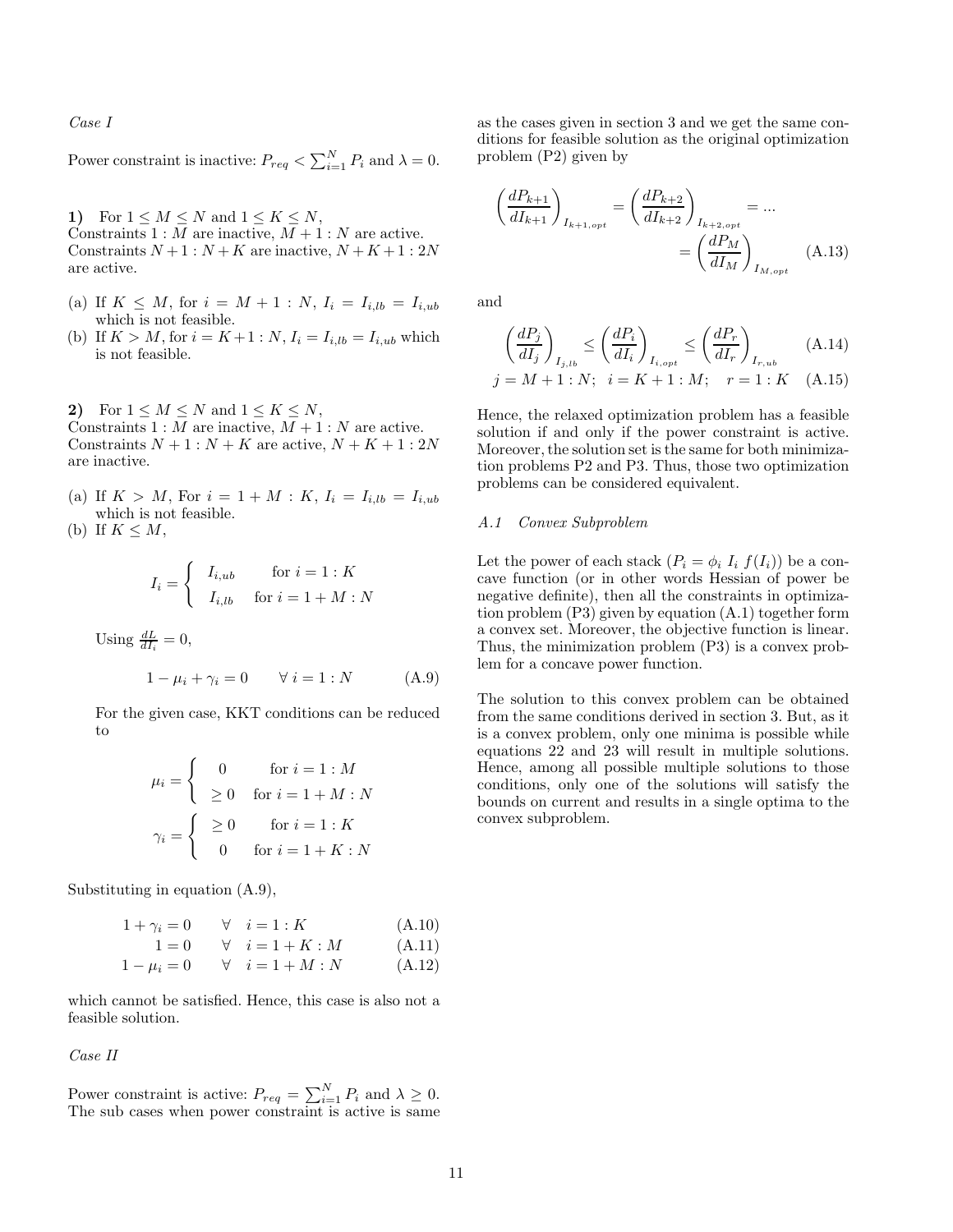Case I

Power constraint is inactive:  $P_{req} < \sum_{i=1}^{N} P_i$  and  $\lambda = 0$ .

1) For  $1 \leq M \leq N$  and  $1 \leq K \leq N$ , Constraints  $1 : M$  are inactive,  $M + 1 : N$  are active. Constraints  $N+1$ :  $N+K$  are inactive,  $N+K+1$ : 2N are active.

- (a) If  $K \leq M$ , for  $i = M + 1 : N$ ,  $I_i = I_{i, lb} = I_{i, ub}$ which is not feasible.
- (b) If  $K > M$ , for  $i = K + 1 : N$ ,  $I_i = I_{i, lb} = I_{i, ub}$  which is not feasible.

2) For  $1 \leq M \leq N$  and  $1 \leq K \leq N$ , Constraints  $1 : M$  are inactive,  $M + 1 : N$  are active. Constraints  $N + 1 : N + K$  are active,  $N + K + 1 : 2N$ are inactive.

(a) If  $K > M$ , For  $i = 1 + M : K$ ,  $I_i = I_{i, lb} = I_{i, ub}$ which is not feasible.

(b) If  $K \leq M$ ,

$$
I_i = \begin{cases} I_{i,ub} & \text{for } i = 1:K \\ I_{i,lb} & \text{for } i = 1 + M: N \end{cases}
$$

Using  $\frac{dL}{dI_i} = 0$ ,

$$
1 - \mu_i + \gamma_i = 0 \qquad \forall \ i = 1 : N \tag{A.9}
$$

For the given case, KKT conditions can be reduced to

$$
\mu_i = \begin{cases}\n0 & \text{for } i = 1 : M \\
\geq 0 & \text{for } i = 1 + M : N\n\end{cases}
$$
\n
$$
\gamma_i = \begin{cases}\n\geq 0 & \text{for } i = 1 : K \\
0 & \text{for } i = 1 + K : N\n\end{cases}
$$

Substituting in equation (A.9),

$$
1 + \gamma_i = 0 \quad \forall \quad i = 1 : K \quad (A.10)
$$
  
\n
$$
1 = 0 \quad \forall \quad i = 1 + K : M \quad (A.11)
$$
  
\n
$$
1 - \mu_i = 0 \quad \forall \quad i = 1 + M : N \quad (A.12)
$$

which cannot be satisfied. Hence, this case is also not a feasible solution.

#### Case II

Power constraint is active:  $P_{req} = \sum_{i=1}^{N} P_i$  and  $\lambda \geq 0$ .<br>The sub cases when power constraint is active is same

as the cases given in section 3 and we get the same conditions for feasible solution as the original optimization problem (P2) given by

$$
\left(\frac{dP_{k+1}}{dI_{k+1}}\right)_{I_{k+1,opt}} = \left(\frac{dP_{k+2}}{dI_{k+2}}\right)_{I_{k+2,opt}} = \dots
$$
\n
$$
= \left(\frac{dP_M}{dI_M}\right)_{I_{M,opt}} \quad (A.13)
$$

and

$$
\left(\frac{dP_j}{dI_j}\right)_{I_{j,lb}} \le \left(\frac{dP_i}{dI_i}\right)_{I_{i,opt}} \le \left(\frac{dP_r}{dI_r}\right)_{I_{r,ub}} \tag{A.14}
$$

$$
j = M + 1 : N; \quad i = K + 1 : M; \quad r = 1 : K \quad (A.15)
$$

Hence, the relaxed optimization problem has a feasible solution if and only if the power constraint is active. Moreover, the solution set is the same for both minimization problems P2 and P3. Thus, those two optimization problems can be considered equivalent.

### A.1 Convex Subproblem

Let the power of each stack  $(P_i = \phi_i I_i f(I_i))$  be a concave function (or in other words Hessian of power be negative definite), then all the constraints in optimization problem (P3) given by equation (A.1) together form a convex set. Moreover, the objective function is linear. Thus, the minimization problem (P3) is a convex problem for a concave power function.

The solution to this convex problem can be obtained from the same conditions derived in section 3. But, as it is a convex problem, only one minima is possible while equations 22 and 23 will result in multiple solutions. Hence, among all possible multiple solutions to those conditions, only one of the solutions will satisfy the bounds on current and results in a single optima to the convex subproblem.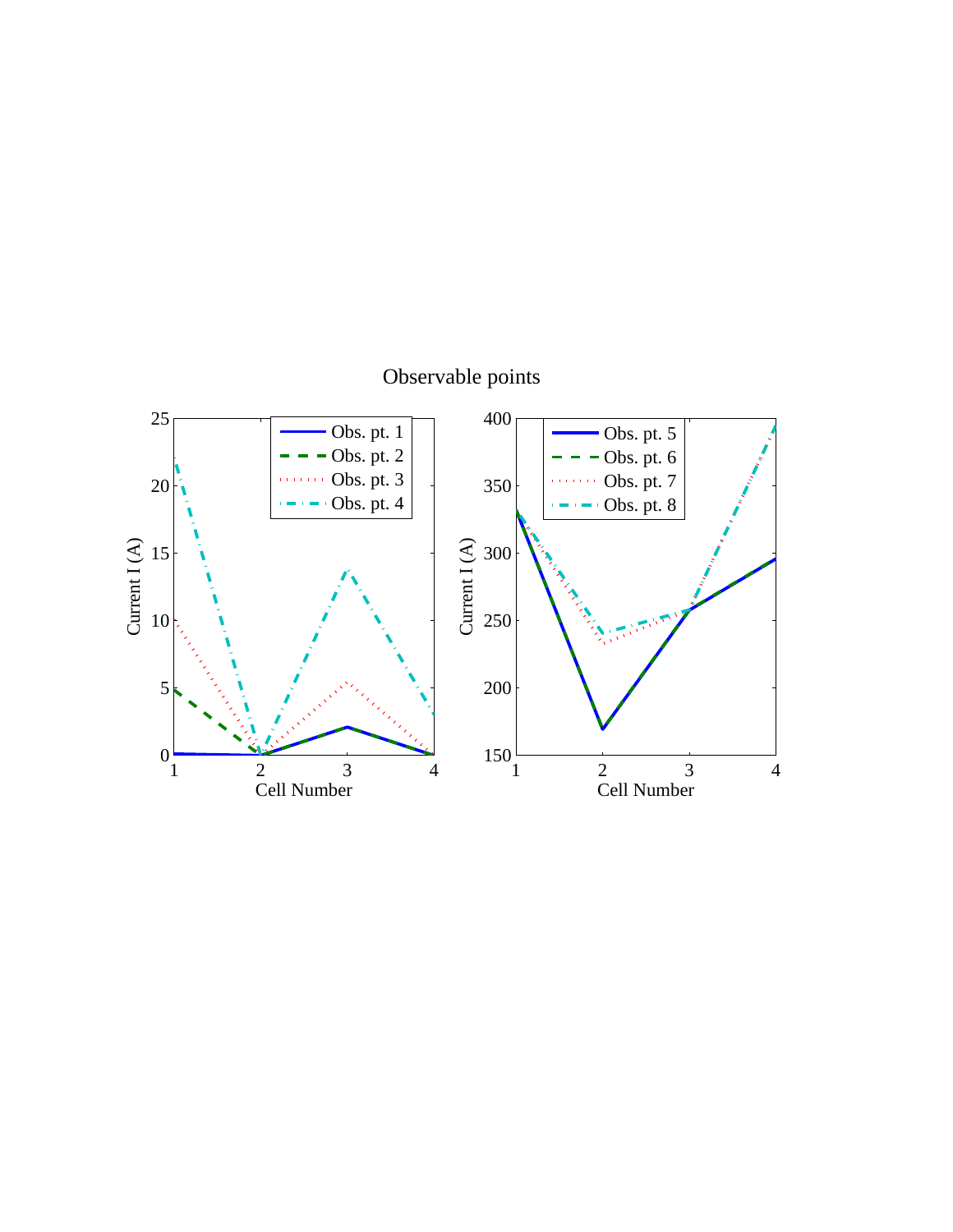

# Observable points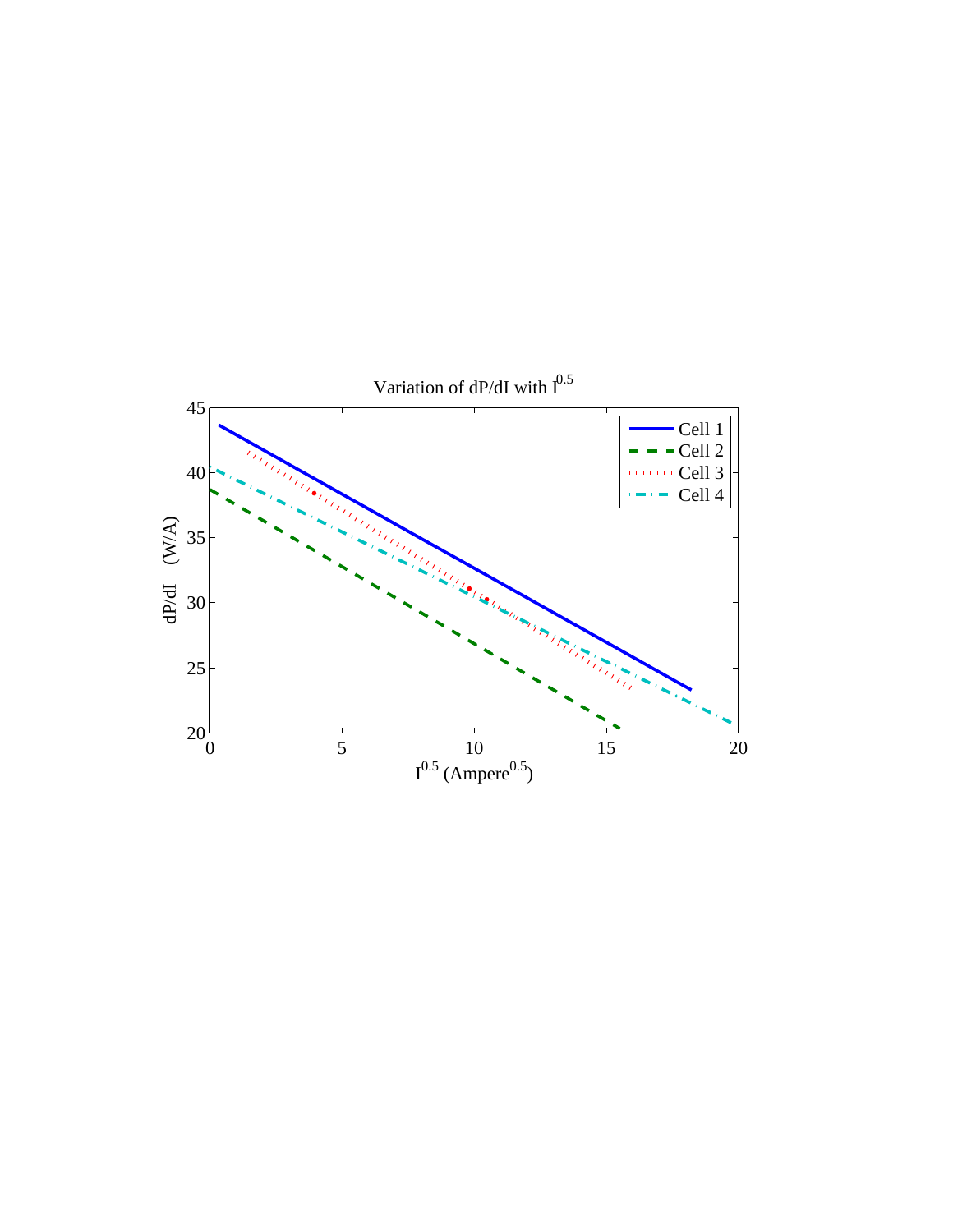